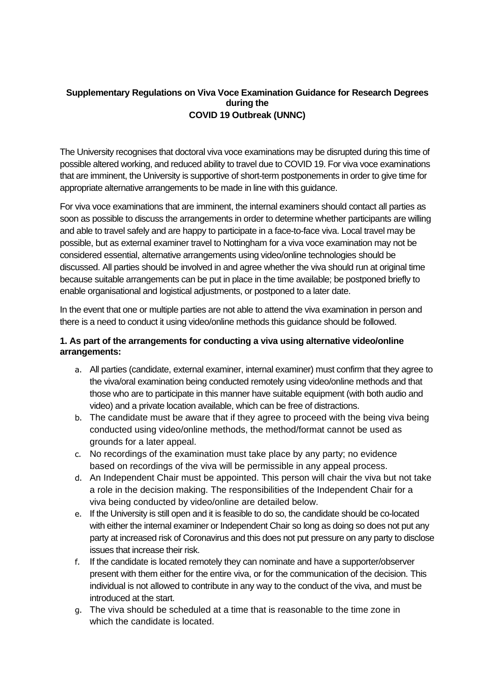#### **Supplementary Regulations on Viva Voce Examination Guidance for Research Degrees during the COVID 19 Outbreak (UNNC)**

The University recognises that doctoral viva voce examinations may be disrupted during this time of possible altered working, and reduced ability to travel due to COVID 19. For viva voce examinations that are imminent, the University is supportive of short-term postponements in order to give time for appropriate alternative arrangements to be made in line with this guidance.

For viva voce examinations that are imminent, the internal examiners should contact all parties as soon as possible to discuss the arrangements in order to determine whether participants are willing and able to travel safely and are happy to participate in a face-to-face viva. Local travel may be possible, but as external examiner travel to Nottingham for a viva voce examination may not be considered essential, alternative arrangements using video/online technologies should be discussed. All parties should be involved in and agree whether the viva should run at original time because suitable arrangements can be put in place in the time available; be postponed briefly to enable organisational and logistical adjustments, or postponed to a later date.

In the event that one or multiple parties are not able to attend the viva examination in person and there is a need to conduct it using video/online methods this guidance should be followed.

## **1. As part of the arrangements for conducting a viva using alternative video/online arrangements:**

- a. All parties (candidate, external examiner, internal examiner) must confirm that they agree to the viva/oral examination being conducted remotely using video/online methods and that those who are to participate in this manner have suitable equipment (with both audio and video) and a private location available, which can be free of distractions.
- b. The candidate must be aware that if they agree to proceed with the being viva being conducted using video/online methods, the method/format cannot be used as grounds for a later appeal.
- c. No recordings of the examination must take place by any party; no evidence based on recordings of the viva will be permissible in any appeal process.
- d. An Independent Chair must be appointed. This person will chair the viva but not take a role in the decision making. The responsibilities of the Independent Chair for a viva being conducted by video/online are detailed below.
- e. If the University is still open and it is feasible to do so, the candidate should be co-located with either the internal examiner or Independent Chair so long as doing so does not put any party at increased risk of Coronavirus and this does not put pressure on any party to disclose issues that increase their risk.
- f. If the candidate is located remotely they can nominate and have a supporter/observer present with them either for the entire viva, or for the communication of the decision. This individual is not allowed to contribute in any way to the conduct of the viva, and must be introduced at the start.
- g. The viva should be scheduled at a time that is reasonable to the time zone in which the candidate is located.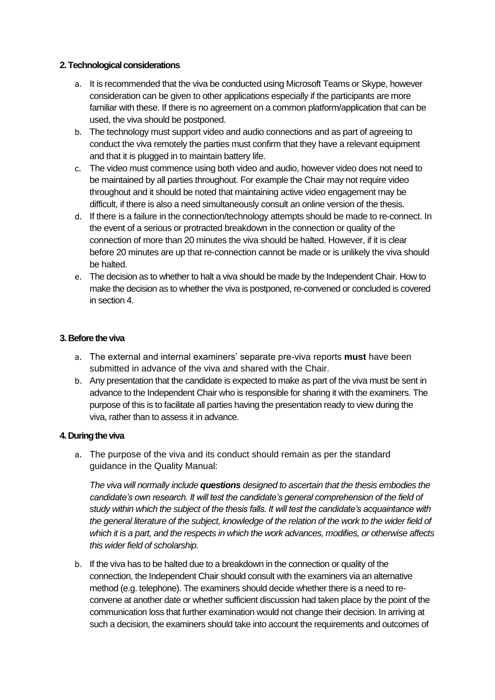#### **2. Technological considerations**

- a. It is recommended that the viva be conducted using Microsoft Teams or Skype, however consideration can be given to other applications especially if the participants are more familiar with these. If there is no agreement on a common platform/application that can be used, the viva should be postponed.
- b. The technology must support video and audio connections and as part of agreeing to conduct the viva remotely the parties must confirm that they have a relevant equipment and that it is plugged in to maintain battery life.
- c. The video must commence using both video and audio, however video does not need to be maintained by all parties throughout. For example the Chair may not require video throughout and it should be noted that maintaining active video engagement may be difficult, if there is also a need simultaneously consult an online version of the thesis.
- d. If there is a failure in the connection/technology attempts should be made to re-connect. In the event of a serious or protracted breakdown in the connection or quality of the connection of more than 20 minutes the viva should be halted. However, if it is clear before 20 minutes are up that re-connection cannot be made or is unlikely the viva should be halted.
- e. The decision as to whether to halt a viva should be made by the Independent Chair. How to make the decision as to whether the viva is postponed, re-convened or concluded is covered in section 4.

# **3. Before the viva**

- a. The external and internal examiners' separate pre-viva reports **must** have been submitted in advance of the viva and shared with the Chair.
- b. Any presentation that the candidate is expected to make as part of the viva must be sent in advance to the Independent Chair who is responsible for sharing it with the examiners. The purpose of this is to facilitate all parties having the presentation ready to view during the viva, rather than to assess it in advance.

# **4. During the viva**

a. The purpose of the viva and its conduct should remain as per the standard guidance in the Quality Manual:

*The viva will normally include questions designed to ascertain that the thesis embodies the candidate's own research. It will test the candidate's general comprehension of the field of study within which the subject of the thesis falls. It will test the candidate's acquaintance with the general literature of the subject, knowledge of the relation of the work to the wider field of which it is a part, and the respects in which the work advances, modifies, or otherwise affects this wider field of scholarship.*

b. If the viva has to be halted due to a breakdown in the connection or quality of the connection, the Independent Chair should consult with the examiners via an alternative method (e.g. telephone). The examiners should decide whether there is a need to reconvene at another date or whether sufficient discussion had taken place by the point of the communication loss that further examination would not change their decision. In arriving at such a decision, the examiners should take into account the requirements and outcomes of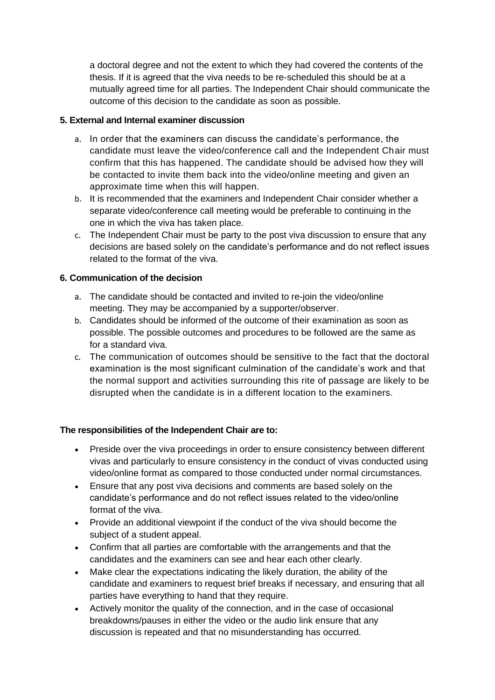a doctoral degree and not the extent to which they had covered the contents of the thesis. If it is agreed that the viva needs to be re-scheduled this should be at a mutually agreed time for all parties. The Independent Chair should communicate the outcome of this decision to the candidate as soon as possible.

## **5. External and Internal examiner discussion**

- a. In order that the examiners can discuss the candidate's performance, the candidate must leave the video/conference call and the Independent Chair must confirm that this has happened. The candidate should be advised how they will be contacted to invite them back into the video/online meeting and given an approximate time when this will happen.
- b. It is recommended that the examiners and Independent Chair consider whether a separate video/conference call meeting would be preferable to continuing in the one in which the viva has taken place.
- c. The Independent Chair must be party to the post viva discussion to ensure that any decisions are based solely on the candidate's performance and do not reflect issues related to the format of the viva.

## **6. Communication of the decision**

- a. The candidate should be contacted and invited to re-join the video/online meeting. They may be accompanied by a supporter/observer.
- b. Candidates should be informed of the outcome of their examination as soon as possible. The possible outcomes and procedures to be followed are the same as for a standard viva.
- c. The communication of outcomes should be sensitive to the fact that the doctoral examination is the most significant culmination of the candidate's work and that the normal support and activities surrounding this rite of passage are likely to be disrupted when the candidate is in a different location to the examiners.

# **The responsibilities of the Independent Chair are to:**

- Preside over the viva proceedings in order to ensure consistency between different vivas and particularly to ensure consistency in the conduct of vivas conducted using video/online format as compared to those conducted under normal circumstances.
- Ensure that any post viva decisions and comments are based solely on the candidate's performance and do not reflect issues related to the video/online format of the viva.
- Provide an additional viewpoint if the conduct of the viva should become the subject of a student appeal.
- Confirm that all parties are comfortable with the arrangements and that the candidates and the examiners can see and hear each other clearly.
- Make clear the expectations indicating the likely duration, the ability of the candidate and examiners to request brief breaks if necessary, and ensuring that all parties have everything to hand that they require.
- Actively monitor the quality of the connection, and in the case of occasional breakdowns/pauses in either the video or the audio link ensure that any discussion is repeated and that no misunderstanding has occurred.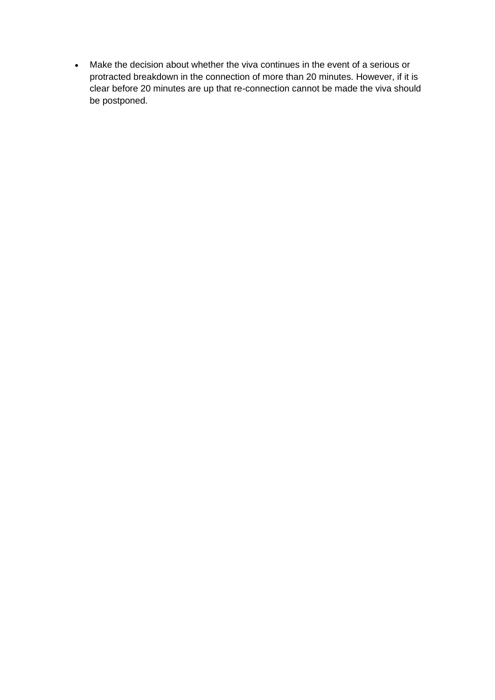• Make the decision about whether the viva continues in the event of a serious or protracted breakdown in the connection of more than 20 minutes. However, if it is clear before 20 minutes are up that re-connection cannot be made the viva should be postponed.